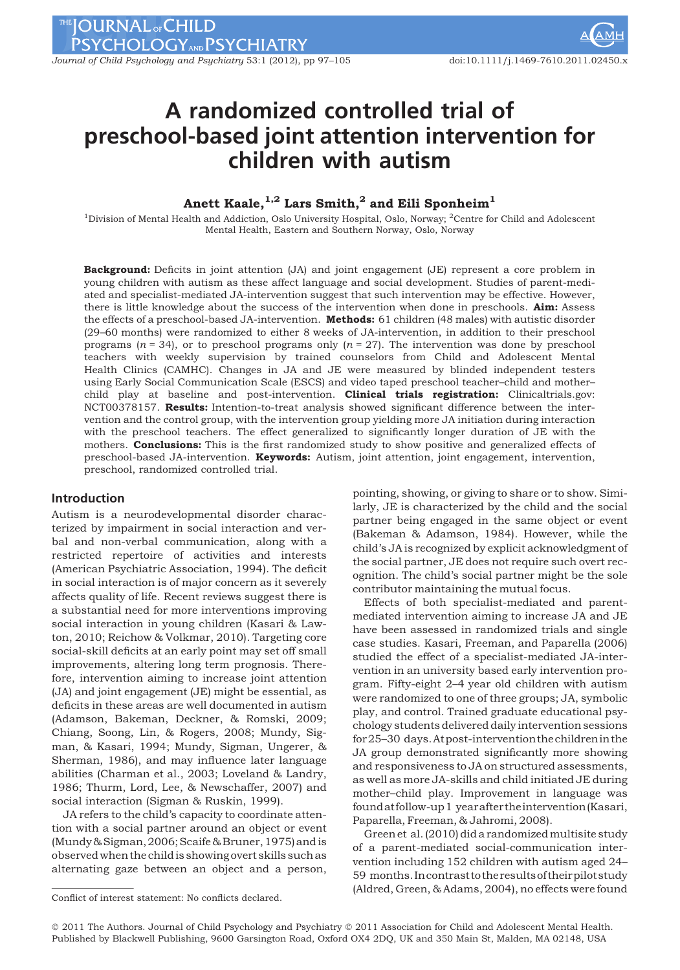THE JOURNAL OF CHILD PSYCHOLOGY<sub>AND</sub> PSYCHIATRY

Journal of Child Psychology and Psychiatry 53:1 (2012), pp 97–105 doi:10.1111/j.1469-7610.2011.02450.x

# A randomized controlled trial of preschool-based joint attention intervention for children with autism

## Anett Kaale,  $^{1,2}$  Lars Smith, <sup>2</sup> and Eili Sponheim<sup>1</sup>

<sup>1</sup>Division of Mental Health and Addiction, Oslo University Hospital, Oslo, Norway; <sup>2</sup>Centre for Child and Adolescent Mental Health, Eastern and Southern Norway, Oslo, Norway

Background: Deficits in joint attention (JA) and joint engagement (JE) represent a core problem in young children with autism as these affect language and social development. Studies of parent-mediated and specialist-mediated JA-intervention suggest that such intervention may be effective. However, there is little knowledge about the success of the intervention when done in preschools. **Aim:** Assess the effects of a preschool-based JA-intervention. **Methods:** 61 children (48 males) with autistic disorder (29–60 months) were randomized to either 8 weeks of JA-intervention, in addition to their preschool programs ( $n = 34$ ), or to preschool programs only ( $n = 27$ ). The intervention was done by preschool teachers with weekly supervision by trained counselors from Child and Adolescent Mental Health Clinics (CAMHC). Changes in JA and JE were measured by blinded independent testers using Early Social Communication Scale (ESCS) and video taped preschool teacher–child and mother– child play at baseline and post-intervention. Clinical trials registration: Clinicaltrials.gov: NCT00378157. Results: Intention-to-treat analysis showed significant difference between the intervention and the control group, with the intervention group yielding more JA initiation during interaction with the preschool teachers. The effect generalized to significantly longer duration of JE with the mothers. Conclusions: This is the first randomized study to show positive and generalized effects of preschool-based JA-intervention. Keywords: Autism, joint attention, joint engagement, intervention, preschool, randomized controlled trial.

## Introduction

Autism is a neurodevelopmental disorder characterized by impairment in social interaction and verbal and non-verbal communication, along with a restricted repertoire of activities and interests (American Psychiatric Association, 1994). The deficit in social interaction is of major concern as it severely affects quality of life. Recent reviews suggest there is a substantial need for more interventions improving social interaction in young children (Kasari & Lawton, 2010; Reichow & Volkmar, 2010). Targeting core social-skill deficits at an early point may set off small improvements, altering long term prognosis. Therefore, intervention aiming to increase joint attention (JA) and joint engagement (JE) might be essential, as deficits in these areas are well documented in autism (Adamson, Bakeman, Deckner, & Romski, 2009; Chiang, Soong, Lin, & Rogers, 2008; Mundy, Sigman, & Kasari, 1994; Mundy, Sigman, Ungerer, & Sherman, 1986), and may influence later language abilities (Charman et al., 2003; Loveland & Landry, 1986; Thurm, Lord, Lee, & Newschaffer, 2007) and social interaction (Sigman & Ruskin, 1999).

JA refers to the child's capacity to coordinate attention with a social partner around an object or event (Mundy&Sigman,2006;Scaife& Bruner, 1975) and is observed when the child is showing overt skills such as alternating gaze between an object and a person,

pointing, showing, or giving to share or to show. Similarly, JE is characterized by the child and the social partner being engaged in the same object or event (Bakeman & Adamson, 1984). However, while the child's JA is recognized by explicit acknowledgment of the social partner, JE does not require such overt recognition. The child's social partner might be the sole contributor maintaining the mutual focus.

Effects of both specialist-mediated and parentmediated intervention aiming to increase JA and JE have been assessed in randomized trials and single case studies. Kasari, Freeman, and Paparella (2006) studied the effect of a specialist-mediated JA-intervention in an university based early intervention program. Fifty-eight 2–4 year old children with autism were randomized to one of three groups; JA, symbolic play, and control. Trained graduate educational psychology students delivered daily intervention sessions for25–30 days.Atpost-intervention the children in the JA group demonstrated significantly more showing and responsiveness to JA on structured assessments, as well as more JA-skills and child initiated JE during mother–child play. Improvement in language was foundat follow-up1 yearafterthe intervention (Kasari, Paparella, Freeman, & Jahromi, 2008).

Green et al. (2010) did a randomized multisite study of a parent-mediated social-communication intervention including 152 children with autism aged 24– 59 months. Incontrast to theresultsof theirpilotstudy (Aldred, Green, & Adams, 2004), no effects were found<br>Conflict of interest statement: No conflicts declared.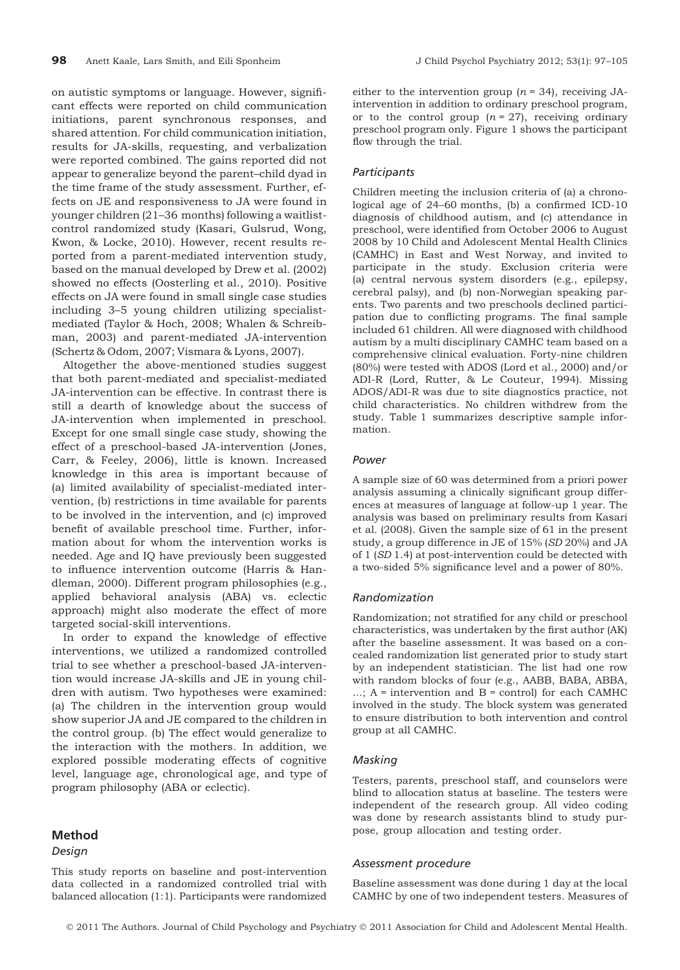on autistic symptoms or language. However, significant effects were reported on child communication initiations, parent synchronous responses, and shared attention. For child communication initiation, results for JA-skills, requesting, and verbalization were reported combined. The gains reported did not appear to generalize beyond the parent–child dyad in the time frame of the study assessment. Further, effects on JE and responsiveness to JA were found in younger children (21–36 months) following a waitlistcontrol randomized study (Kasari, Gulsrud, Wong, Kwon, & Locke, 2010). However, recent results reported from a parent-mediated intervention study, based on the manual developed by Drew et al. (2002) showed no effects (Oosterling et al., 2010). Positive effects on JA were found in small single case studies including 3–5 young children utilizing specialistmediated (Taylor & Hoch, 2008; Whalen & Schreibman, 2003) and parent-mediated JA-intervention (Schertz & Odom, 2007; Vismara & Lyons, 2007).

Altogether the above-mentioned studies suggest that both parent-mediated and specialist-mediated JA-intervention can be effective. In contrast there is still a dearth of knowledge about the success of JA-intervention when implemented in preschool. Except for one small single case study, showing the effect of a preschool-based JA-intervention (Jones, Carr, & Feeley, 2006), little is known. Increased knowledge in this area is important because of (a) limited availability of specialist-mediated intervention, (b) restrictions in time available for parents to be involved in the intervention, and (c) improved benefit of available preschool time. Further, information about for whom the intervention works is needed. Age and IQ have previously been suggested to influence intervention outcome (Harris & Handleman, 2000). Different program philosophies (e.g., applied behavioral analysis (ABA) vs. eclectic approach) might also moderate the effect of more targeted social-skill interventions.

In order to expand the knowledge of effective interventions, we utilized a randomized controlled trial to see whether a preschool-based JA-intervention would increase JA-skills and JE in young children with autism. Two hypotheses were examined: (a) The children in the intervention group would show superior JA and JE compared to the children in the control group. (b) The effect would generalize to the interaction with the mothers. In addition, we explored possible moderating effects of cognitive level, language age, chronological age, and type of program philosophy (ABA or eclectic).

## Method

#### Design

This study reports on baseline and post-intervention data collected in a randomized controlled trial with balanced allocation (1:1). Participants were randomized

either to the intervention group ( $n = 34$ ), receiving JAintervention in addition to ordinary preschool program, or to the control group  $(n = 27)$ , receiving ordinary preschool program only. Figure 1 shows the participant flow through the trial.

## **Participants**

Children meeting the inclusion criteria of (a) a chronological age of 24–60 months, (b) a confirmed ICD-10 diagnosis of childhood autism, and (c) attendance in preschool, were identified from October 2006 to August 2008 by 10 Child and Adolescent Mental Health Clinics (CAMHC) in East and West Norway, and invited to participate in the study. Exclusion criteria were (a) central nervous system disorders (e.g., epilepsy, cerebral palsy), and (b) non-Norwegian speaking parents. Two parents and two preschools declined participation due to conflicting programs. The final sample included 61 children. All were diagnosed with childhood autism by a multi disciplinary CAMHC team based on a comprehensive clinical evaluation. Forty-nine children (80%) were tested with ADOS (Lord et al., 2000) and/or ADI-R (Lord, Rutter, & Le Couteur, 1994). Missing ADOS/ADI-R was due to site diagnostics practice, not child characteristics. No children withdrew from the study. Table 1 summarizes descriptive sample information.

#### Power

A sample size of 60 was determined from a priori power analysis assuming a clinically significant group differences at measures of language at follow-up 1 year. The analysis was based on preliminary results from Kasari et al. (2008). Given the sample size of 61 in the present study, a group difference in JE of 15% (SD 20%) and JA of 1 (SD 1.4) at post-intervention could be detected with a two-sided 5% significance level and a power of 80%.

#### Randomization

Randomization; not stratified for any child or preschool characteristics, was undertaken by the first author (AK) after the baseline assessment. It was based on a concealed randomization list generated prior to study start by an independent statistician. The list had one row with random blocks of four (e.g., AABB, BABA, ABBA, ...;  $A =$  intervention and  $B =$  control) for each CAMHC involved in the study. The block system was generated to ensure distribution to both intervention and control group at all CAMHC.

## Masking

Testers, parents, preschool staff, and counselors were blind to allocation status at baseline. The testers were independent of the research group. All video coding was done by research assistants blind to study purpose, group allocation and testing order.

#### Assessment procedure

Baseline assessment was done during 1 day at the local CAMHC by one of two independent testers. Measures of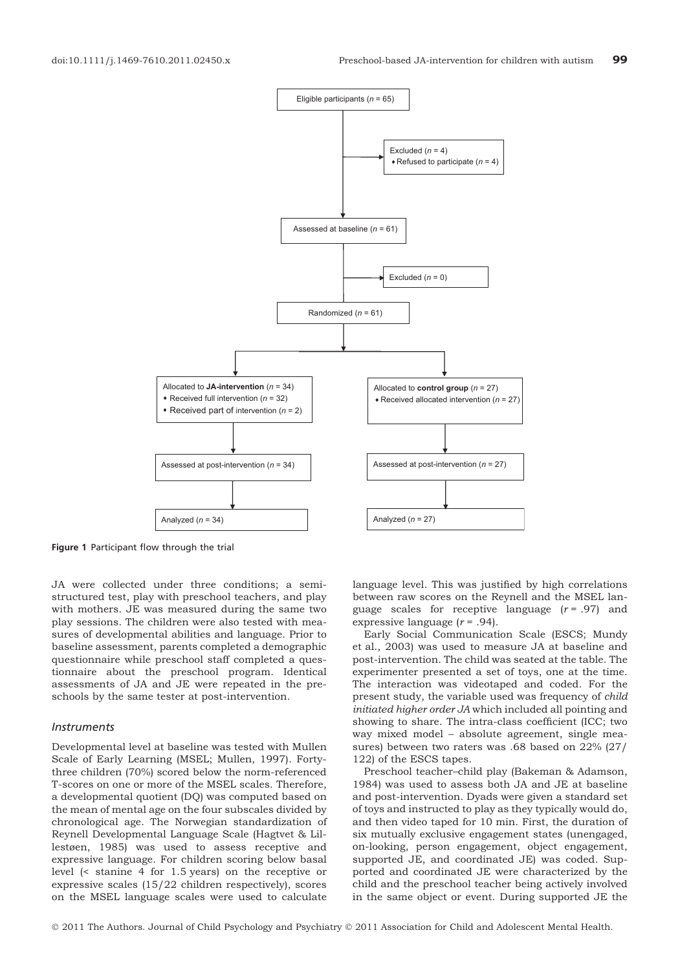

Figure 1 Participant flow through the trial

JA were collected under three conditions; a semistructured test, play with preschool teachers, and play with mothers. JE was measured during the same two play sessions. The children were also tested with measures of developmental abilities and language. Prior to baseline assessment, parents completed a demographic questionnaire while preschool staff completed a questionnaire about the preschool program. Identical assessments of JA and JE were repeated in the preschools by the same tester at post-intervention.

#### Instruments

Developmental level at baseline was tested with Mullen Scale of Early Learning (MSEL; Mullen, 1997). Fortythree children (70%) scored below the norm-referenced T-scores on one or more of the MSEL scales. Therefore, a developmental quotient (DQ) was computed based on the mean of mental age on the four subscales divided by chronological age. The Norwegian standardization of Reynell Developmental Language Scale (Hagtvet & Lillestøen, 1985) was used to assess receptive and expressive language. For children scoring below basal level (< stanine 4 for 1.5 years) on the receptive or expressive scales (15/22 children respectively), scores on the MSEL language scales were used to calculate

language level. This was justified by high correlations between raw scores on the Reynell and the MSEL language scales for receptive language  $(r = .97)$  and expressive language  $(r = .94)$ .

Early Social Communication Scale (ESCS; Mundy et al., 2003) was used to measure JA at baseline and post-intervention. The child was seated at the table. The experimenter presented a set of toys, one at the time. The interaction was videotaped and coded. For the present study, the variable used was frequency of child initiated higher order JA which included all pointing and showing to share. The intra-class coefficient (ICC; two way mixed model – absolute agreement, single measures) between two raters was .68 based on 22% (27/ 122) of the ESCS tapes.

Preschool teacher–child play (Bakeman & Adamson, 1984) was used to assess both JA and JE at baseline and post-intervention. Dyads were given a standard set of toys and instructed to play as they typically would do, and then video taped for 10 min. First, the duration of six mutually exclusive engagement states (unengaged, on-looking, person engagement, object engagement, supported JE, and coordinated JE) was coded. Supported and coordinated JE were characterized by the child and the preschool teacher being actively involved in the same object or event. During supported JE the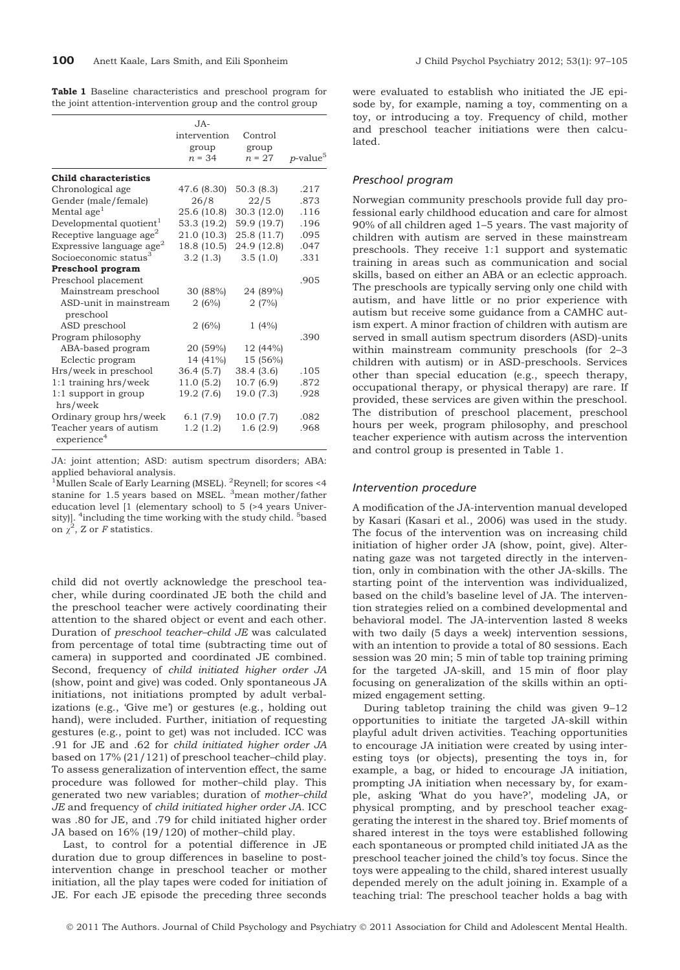|  | <b>Table 1</b> Baseline characteristics and preschool program for |  |  |
|--|-------------------------------------------------------------------|--|--|
|  | the joint attention-intervention group and the control group      |  |  |

|                                                    | $JA-$        |             |                         |
|----------------------------------------------------|--------------|-------------|-------------------------|
|                                                    | intervention | Control     |                         |
|                                                    | group        | group       |                         |
|                                                    | $n = 34$     | $n = 27$    | $p$ -value <sup>5</sup> |
| <b>Child characteristics</b>                       |              |             |                         |
| Chronological age                                  | 47.6 (8.30)  | 50.3(8.3)   | .217                    |
| Gender (male/female)                               | 26/8         | 22/5        | .873                    |
| Mental age <sup>1</sup>                            | 25.6 (10.8)  | 30.3(12.0)  | .116                    |
| Developmental quotient <sup>1</sup>                | 53.3 (19.2)  | 59.9 (19.7) | .196                    |
| Receptive language age $^2$                        | 21.0 (10.3)  | 25.8 (11.7) | .095                    |
| Expressive language age $^2$                       | 18.8 (10.5)  | 24.9 (12.8) | .047                    |
| Socioeconomic status <sup>3</sup>                  | 3.2(1.3)     | 3.5(1.0)    | .331                    |
| Preschool program                                  |              |             |                         |
| Preschool placement                                |              |             | .905                    |
| Mainstream preschool                               | 30 (88%)     | 24 (89%)    |                         |
| ASD-unit in mainstream<br>preschool                | 2(6%)        | 2(7%)       |                         |
| ASD preschool                                      | 2(6%)        | 1(4%)       |                         |
| Program philosophy                                 |              |             | .390                    |
| ABA-based program                                  | 20 (59%)     | 12 (44%)    |                         |
| Eclectic program                                   | 14 (41%)     | 15 (56%)    |                         |
| Hrs/week in preschool                              | 36.4 (5.7)   | 38.4(3.6)   | .105                    |
| $1:1$ training hrs/week                            | 11.0(5.2)    | 10.7(6.9)   | .872                    |
| 1:1 support in group<br>hrs/week                   | 19.2 (7.6)   | 19.0 (7.3)  | .928                    |
| Ordinary group hrs/week                            | 6.1(7.9)     | 10.0 (7.7)  | .082                    |
| Teacher years of autism<br>experience <sup>4</sup> | 1.2(1.2)     | 1.6(2.9)    | .968                    |

JA: joint attention; ASD: autism spectrum disorders; ABA: applied behavioral analysis.

<sup>1</sup>Mullen Scale of Early Learning (MSEL). <sup>2</sup>Reynell; for scores <4 stanine for 1.5 years based on MSEL. <sup>3</sup>mean mother/father education level [1 (elementary school) to 5 (>4 years University)]. <sup>4</sup>including the time working with the study child. <sup>5</sup>based on  $\chi^2$ , Z or F statistics.

child did not overtly acknowledge the preschool teacher, while during coordinated JE both the child and the preschool teacher were actively coordinating their attention to the shared object or event and each other. Duration of preschool teacher–child JE was calculated from percentage of total time (subtracting time out of camera) in supported and coordinated JE combined. Second, frequency of child initiated higher order JA (show, point and give) was coded. Only spontaneous JA initiations, not initiations prompted by adult verbalizations (e.g., 'Give me') or gestures (e.g., holding out hand), were included. Further, initiation of requesting gestures (e.g., point to get) was not included. ICC was .91 for JE and .62 for child initiated higher order JA based on 17% (21/121) of preschool teacher–child play. To assess generalization of intervention effect, the same procedure was followed for mother–child play. This generated two new variables; duration of mother–child JE and frequency of child initiated higher order JA. ICC was .80 for JE, and .79 for child initiated higher order JA based on 16% (19/120) of mother–child play.

Last, to control for a potential difference in JE duration due to group differences in baseline to postintervention change in preschool teacher or mother initiation, all the play tapes were coded for initiation of JE. For each JE episode the preceding three seconds

were evaluated to establish who initiated the JE episode by, for example, naming a toy, commenting on a toy, or introducing a toy. Frequency of child, mother and preschool teacher initiations were then calculated.

## Preschool program

Norwegian community preschools provide full day professional early childhood education and care for almost 90% of all children aged 1–5 years. The vast majority of children with autism are served in these mainstream preschools. They receive 1:1 support and systematic training in areas such as communication and social skills, based on either an ABA or an eclectic approach. The preschools are typically serving only one child with autism, and have little or no prior experience with autism but receive some guidance from a CAMHC autism expert. A minor fraction of children with autism are served in small autism spectrum disorders (ASD)-units within mainstream community preschools (for 2–3 children with autism) or in ASD-preschools. Services other than special education (e.g., speech therapy, occupational therapy, or physical therapy) are rare. If provided, these services are given within the preschool. The distribution of preschool placement, preschool hours per week, program philosophy, and preschool teacher experience with autism across the intervention and control group is presented in Table 1.

#### Intervention procedure

A modification of the JA-intervention manual developed by Kasari (Kasari et al., 2006) was used in the study. The focus of the intervention was on increasing child initiation of higher order JA (show, point, give). Alternating gaze was not targeted directly in the intervention, only in combination with the other JA-skills. The starting point of the intervention was individualized, based on the child's baseline level of JA. The intervention strategies relied on a combined developmental and behavioral model. The JA-intervention lasted 8 weeks with two daily (5 days a week) intervention sessions, with an intention to provide a total of 80 sessions. Each session was 20 min; 5 min of table top training priming for the targeted JA-skill, and 15 min of floor play focusing on generalization of the skills within an optimized engagement setting.

During tabletop training the child was given 9–12 opportunities to initiate the targeted JA-skill within playful adult driven activities. Teaching opportunities to encourage JA initiation were created by using interesting toys (or objects), presenting the toys in, for example, a bag, or hided to encourage JA initiation, prompting JA initiation when necessary by, for example, asking 'What do you have?', modeling JA, or physical prompting, and by preschool teacher exaggerating the interest in the shared toy. Brief moments of shared interest in the toys were established following each spontaneous or prompted child initiated JA as the preschool teacher joined the child's toy focus. Since the toys were appealing to the child, shared interest usually depended merely on the adult joining in. Example of a teaching trial: The preschool teacher holds a bag with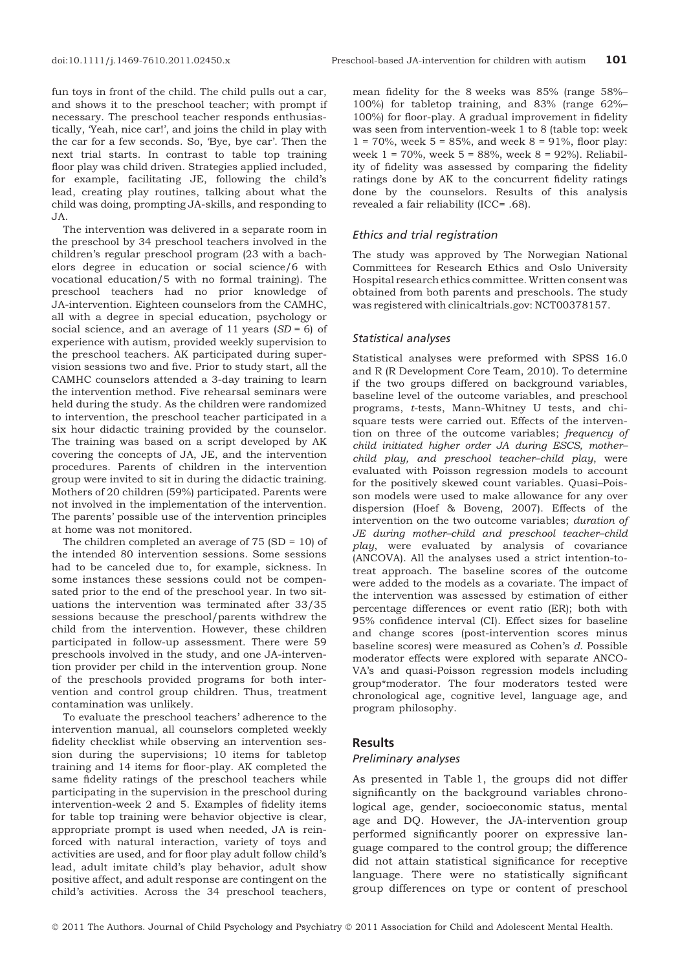fun toys in front of the child. The child pulls out a car, and shows it to the preschool teacher; with prompt if necessary. The preschool teacher responds enthusiastically, 'Yeah, nice car!', and joins the child in play with the car for a few seconds. So, 'Bye, bye car'. Then the next trial starts. In contrast to table top training floor play was child driven. Strategies applied included, for example, facilitating JE, following the child's lead, creating play routines, talking about what the child was doing, prompting JA-skills, and responding to JA.

The intervention was delivered in a separate room in the preschool by 34 preschool teachers involved in the children's regular preschool program (23 with a bachelors degree in education or social science/6 with vocational education/5 with no formal training). The preschool teachers had no prior knowledge of JA-intervention. Eighteen counselors from the CAMHC, all with a degree in special education, psychology or social science, and an average of 11 years  $(SD = 6)$  of experience with autism, provided weekly supervision to the preschool teachers. AK participated during supervision sessions two and five. Prior to study start, all the CAMHC counselors attended a 3-day training to learn the intervention method. Five rehearsal seminars were held during the study. As the children were randomized to intervention, the preschool teacher participated in a six hour didactic training provided by the counselor. The training was based on a script developed by AK covering the concepts of JA, JE, and the intervention procedures. Parents of children in the intervention group were invited to sit in during the didactic training. Mothers of 20 children (59%) participated. Parents were not involved in the implementation of the intervention. The parents' possible use of the intervention principles at home was not monitored.

The children completed an average of 75 (SD = 10) of the intended 80 intervention sessions. Some sessions had to be canceled due to, for example, sickness. In some instances these sessions could not be compensated prior to the end of the preschool year. In two situations the intervention was terminated after 33/35 sessions because the preschool/parents withdrew the child from the intervention. However, these children participated in follow-up assessment. There were 59 preschools involved in the study, and one JA-intervention provider per child in the intervention group. None of the preschools provided programs for both intervention and control group children. Thus, treatment contamination was unlikely.

To evaluate the preschool teachers' adherence to the intervention manual, all counselors completed weekly fidelity checklist while observing an intervention session during the supervisions; 10 items for tabletop training and 14 items for floor-play. AK completed the same fidelity ratings of the preschool teachers while participating in the supervision in the preschool during intervention-week 2 and 5. Examples of fidelity items for table top training were behavior objective is clear, appropriate prompt is used when needed, JA is reinforced with natural interaction, variety of toys and activities are used, and for floor play adult follow child's lead, adult imitate child's play behavior, adult show positive affect, and adult response are contingent on the child's activities. Across the 34 preschool teachers,

mean fidelity for the 8 weeks was 85% (range 58%– 100%) for tabletop training, and 83% (range 62%– 100%) for floor-play. A gradual improvement in fidelity was seen from intervention-week 1 to 8 (table top: week  $1 = 70\%$ , week  $5 = 85\%$ , and week  $8 = 91\%$ , floor play: week 1 = 70%, week 5 = 88%, week 8 = 92%). Reliability of fidelity was assessed by comparing the fidelity ratings done by AK to the concurrent fidelity ratings done by the counselors. Results of this analysis revealed a fair reliability (ICC= .68).

#### Ethics and trial registration

The study was approved by The Norwegian National Committees for Research Ethics and Oslo University Hospital research ethics committee. Written consent was obtained from both parents and preschools. The study was registered with clinicaltrials.gov: NCT00378157.

#### Statistical analyses

Statistical analyses were preformed with SPSS 16.0 and R (R Development Core Team, 2010). To determine if the two groups differed on background variables, baseline level of the outcome variables, and preschool programs, t-tests, Mann-Whitney U tests, and chisquare tests were carried out. Effects of the intervention on three of the outcome variables; frequency of child initiated higher order JA during ESCS, mother– child play, and preschool teacher–child play, were evaluated with Poisson regression models to account for the positively skewed count variables. Quasi–Poisson models were used to make allowance for any over dispersion (Hoef & Boveng, 2007). Effects of the intervention on the two outcome variables; duration of JE during mother–child and preschool teacher–child play, were evaluated by analysis of covariance (ANCOVA). All the analyses used a strict intention-totreat approach. The baseline scores of the outcome were added to the models as a covariate. The impact of the intervention was assessed by estimation of either percentage differences or event ratio (ER); both with 95% confidence interval (CI). Effect sizes for baseline and change scores (post-intervention scores minus baseline scores) were measured as Cohen's d. Possible moderator effects were explored with separate ANCO-VA's and quasi-Poisson regression models including group\*moderator. The four moderators tested were chronological age, cognitive level, language age, and program philosophy.

#### Results

#### Preliminary analyses

As presented in Table 1, the groups did not differ significantly on the background variables chronological age, gender, socioeconomic status, mental age and DQ. However, the JA-intervention group performed significantly poorer on expressive language compared to the control group; the difference did not attain statistical significance for receptive language. There were no statistically significant group differences on type or content of preschool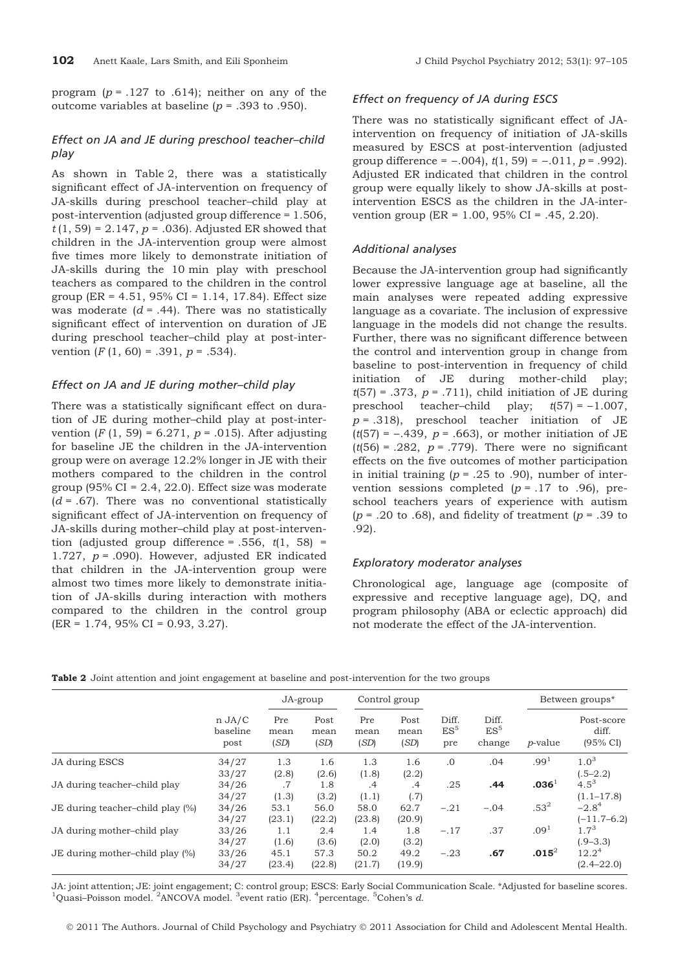program ( $p = .127$  to .614); neither on any of the outcome variables at baseline ( $p = .393$  to .950).

## Effect on JA and JE during preschool teacher–child play

As shown in Table 2, there was a statistically significant effect of JA-intervention on frequency of JA-skills during preschool teacher–child play at post-intervention (adjusted group difference = 1.506,  $t(1, 59) = 2.147$ ,  $p = .036$ . Adjusted ER showed that children in the JA-intervention group were almost five times more likely to demonstrate initiation of JA-skills during the 10 min play with preschool teachers as compared to the children in the control group (ER =  $4.51$ ,  $95\%$  CI = 1.14, 17.84). Effect size was moderate  $(d = .44)$ . There was no statistically significant effect of intervention on duration of JE during preschool teacher–child play at post-intervention  $(F(1, 60) = .391, p = .534)$ .

## Effect on JA and JE during mother–child play

There was a statistically significant effect on duration of JE during mother–child play at post-intervention  $(F (1, 59) = 6.271, p = .015)$ . After adjusting for baseline JE the children in the JA-intervention group were on average 12.2% longer in JE with their mothers compared to the children in the control group  $(95\% \text{ CI} = 2.4, 22.0)$ . Effect size was moderate  $(d = .67)$ . There was no conventional statistically significant effect of JA-intervention on frequency of JA-skills during mother–child play at post-intervention (adjusted group difference = .556,  $t(1, 58)$  = 1.727,  $p = .090$ ). However, adjusted ER indicated that children in the JA-intervention group were almost two times more likely to demonstrate initiation of JA-skills during interaction with mothers compared to the children in the control group  $|ER = 1.74, 95\% CI = 0.93, 3.27$ .

## Effect on frequency of JA during ESCS

There was no statistically significant effect of JAintervention on frequency of initiation of JA-skills measured by ESCS at post-intervention (adjusted group difference =  $-.004$ ,  $t(1, 59) = -.011$ ,  $p = .992$ ). Adjusted ER indicated that children in the control group were equally likely to show JA-skills at postintervention ESCS as the children in the JA-intervention group (ER = 1.00, 95% CI = .45, 2.20).

## Additional analyses

Because the JA-intervention group had significantly lower expressive language age at baseline, all the main analyses were repeated adding expressive language as a covariate. The inclusion of expressive language in the models did not change the results. Further, there was no significant difference between the control and intervention group in change from baseline to post-intervention in frequency of child initiation of JE during mother-child play;  $t(57) = .373$ ,  $p = .711$ , child initiation of JE during preschool teacher–child play;  $t(57) = -1.007$ ,  $p = .318$ ), preschool teacher initiation of JE  $(t(57) = -.439, p = .663)$ , or mother initiation of JE ( $t(56)$  = .282,  $p$  = .779). There were no significant effects on the five outcomes of mother participation in initial training ( $p = .25$  to .90), number of intervention sessions completed  $(p = .17)$  to .96), preschool teachers years of experience with autism  $(p = .20 \text{ to } .68)$ , and fidelity of treatment  $(p = .39 \text{ to } .68)$ .92).

## Exploratory moderator analyses

Chronological age, language age (composite of expressive and receptive language age), DQ, and program philosophy (ABA or eclectic approach) did not moderate the effect of the JA-intervention.

| Table 2 Joint attention and joint engagement at baseline and post-intervention for the two groups |  |
|---------------------------------------------------------------------------------------------------|--|
|---------------------------------------------------------------------------------------------------|--|

|                                  | $n$ JA/C<br>baseline<br>post | JA-group                |                         | Control group           |                         |                                 |                                    | Between groups*   |                                                     |
|----------------------------------|------------------------------|-------------------------|-------------------------|-------------------------|-------------------------|---------------------------------|------------------------------------|-------------------|-----------------------------------------------------|
|                                  |                              | Pre<br>mean<br>(SD)     | Post<br>mean<br>(SD)    | Pre<br>mean<br>(SD)     | Post<br>mean<br>(SD)    | Diff.<br>ES <sup>5</sup><br>pre | Diff.<br>ES <sup>5</sup><br>change | <i>p</i> -value   | Post-score<br>diff.<br>(95% CI)                     |
| JA during ESCS                   | 34/27                        | 1.3                     | 1.6                     | 1.3                     | 1.6                     | $\cdot$ <sup>0</sup>            | .04                                | .99 <sup>1</sup>  | $1.0^{3}$                                           |
| JA during teacher-child play     | 33/27<br>34/26               | (2.8)<br>.7             | (2.6)<br>1.8            | (1.8)<br>.4             | (2.2)<br>.4             | .25                             | .44                                | .036 <sup>1</sup> | $(.5-2.2)$<br>$4.5^3$                               |
| JE during teacher-child play (%) | 34/27<br>34/26               | (1.3)<br>53.1           | (3.2)<br>56.0           | (1.1)<br>58.0           | (.7)<br>62.7            | $-.21$                          | $-.04$                             | $.53^2$           | $(1.1 - 17.8)$<br>$-2.84$                           |
| JA during mother-child play      | 34/27<br>33/26               | (23.1)<br>1.1           | (22.2)<br>2.4           | (23.8)<br>1.4           | (20.9)<br>1.8           | $-.17$                          | .37                                | .09 <sup>1</sup>  | $(-11.7-6.2)$<br>$1.7^{3}$                          |
| JE during mother-child play (%)  | 34/27<br>33/26<br>34/27      | (1.6)<br>45.1<br>(23.4) | (3.6)<br>57.3<br>(22.8) | (2.0)<br>50.2<br>(21.7) | (3.2)<br>49.2<br>(19.9) | $-.23$                          | .67                                | $.015^2$          | $(.9 - 3.3)$<br>12.2 <sup>4</sup><br>$(2.4 - 22.0)$ |

JA: joint attention; JE: joint engagement; C: control group; ESCS: Early Social Communication Scale. \*Adjusted for baseline scores. <sup>1</sup>Quasi-Poisson model. <sup>2</sup>ANCOVA model. <sup>3</sup>event ratio (ER). <sup>4</sup>percentage. <sup>5</sup>Cohen's d.

© 2011 The Authors. Journal of Child Psychology and Psychiatry © 2011 Association for Child and Adolescent Mental Health.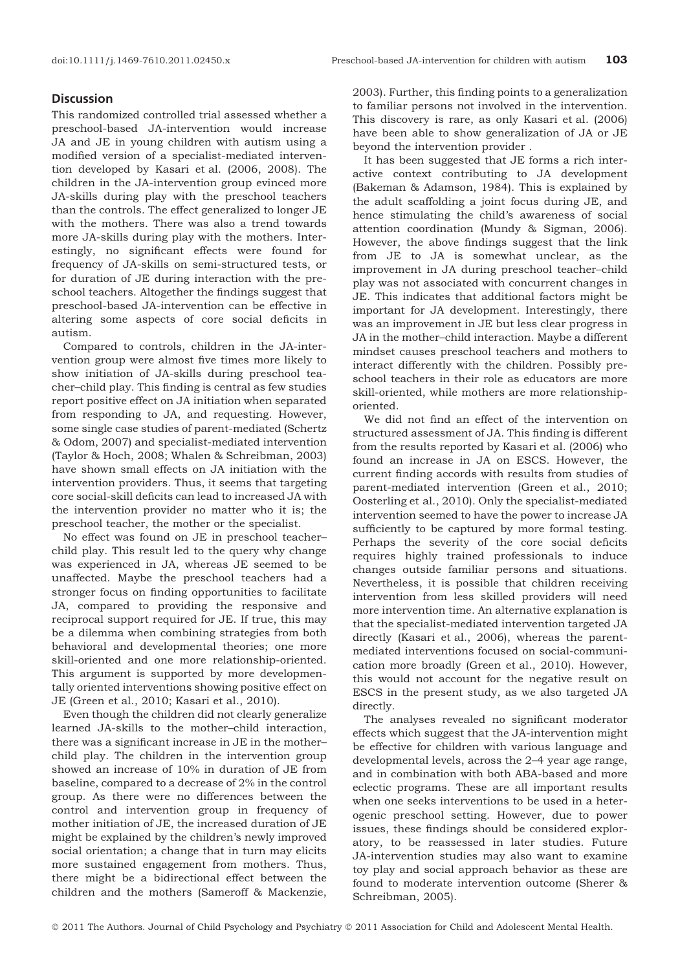## **Discussion**

This randomized controlled trial assessed whether a preschool-based JA-intervention would increase JA and JE in young children with autism using a modified version of a specialist-mediated intervention developed by Kasari et al. (2006, 2008). The children in the JA-intervention group evinced more JA-skills during play with the preschool teachers than the controls. The effect generalized to longer JE with the mothers. There was also a trend towards more JA-skills during play with the mothers. Interestingly, no significant effects were found for frequency of JA-skills on semi-structured tests, or for duration of JE during interaction with the preschool teachers. Altogether the findings suggest that preschool-based JA-intervention can be effective in altering some aspects of core social deficits in autism.

Compared to controls, children in the JA-intervention group were almost five times more likely to show initiation of JA-skills during preschool teacher–child play. This finding is central as few studies report positive effect on JA initiation when separated from responding to JA, and requesting. However, some single case studies of parent-mediated (Schertz & Odom, 2007) and specialist-mediated intervention (Taylor & Hoch, 2008; Whalen & Schreibman, 2003) have shown small effects on JA initiation with the intervention providers. Thus, it seems that targeting core social-skill deficits can lead to increased JA with the intervention provider no matter who it is; the preschool teacher, the mother or the specialist.

No effect was found on JE in preschool teacher– child play. This result led to the query why change was experienced in JA, whereas JE seemed to be unaffected. Maybe the preschool teachers had a stronger focus on finding opportunities to facilitate JA, compared to providing the responsive and reciprocal support required for JE. If true, this may be a dilemma when combining strategies from both behavioral and developmental theories; one more skill-oriented and one more relationship-oriented. This argument is supported by more developmentally oriented interventions showing positive effect on JE (Green et al., 2010; Kasari et al., 2010).

Even though the children did not clearly generalize learned JA-skills to the mother–child interaction, there was a significant increase in JE in the mother– child play. The children in the intervention group showed an increase of 10% in duration of JE from baseline, compared to a decrease of 2% in the control group. As there were no differences between the control and intervention group in frequency of mother initiation of JE, the increased duration of JE might be explained by the children's newly improved social orientation; a change that in turn may elicits more sustained engagement from mothers. Thus, there might be a bidirectional effect between the children and the mothers (Sameroff & Mackenzie,

2003). Further, this finding points to a generalization to familiar persons not involved in the intervention. This discovery is rare, as only Kasari et al. (2006) have been able to show generalization of JA or JE beyond the intervention provider .

It has been suggested that JE forms a rich interactive context contributing to JA development (Bakeman & Adamson, 1984). This is explained by the adult scaffolding a joint focus during JE, and hence stimulating the child's awareness of social attention coordination (Mundy & Sigman, 2006). However, the above findings suggest that the link from JE to JA is somewhat unclear, as the improvement in JA during preschool teacher–child play was not associated with concurrent changes in JE. This indicates that additional factors might be important for JA development. Interestingly, there was an improvement in JE but less clear progress in JA in the mother–child interaction. Maybe a different mindset causes preschool teachers and mothers to interact differently with the children. Possibly preschool teachers in their role as educators are more skill-oriented, while mothers are more relationshiporiented.

We did not find an effect of the intervention on structured assessment of JA. This finding is different from the results reported by Kasari et al. (2006) who found an increase in JA on ESCS. However, the current finding accords with results from studies of parent-mediated intervention (Green et al., 2010; Oosterling et al., 2010). Only the specialist-mediated intervention seemed to have the power to increase JA sufficiently to be captured by more formal testing. Perhaps the severity of the core social deficits requires highly trained professionals to induce changes outside familiar persons and situations. Nevertheless, it is possible that children receiving intervention from less skilled providers will need more intervention time. An alternative explanation is that the specialist-mediated intervention targeted JA directly (Kasari et al., 2006), whereas the parentmediated interventions focused on social-communication more broadly (Green et al., 2010). However, this would not account for the negative result on ESCS in the present study, as we also targeted JA directly.

The analyses revealed no significant moderator effects which suggest that the JA-intervention might be effective for children with various language and developmental levels, across the 2–4 year age range, and in combination with both ABA-based and more eclectic programs. These are all important results when one seeks interventions to be used in a heterogenic preschool setting. However, due to power issues, these findings should be considered exploratory, to be reassessed in later studies. Future JA-intervention studies may also want to examine toy play and social approach behavior as these are found to moderate intervention outcome (Sherer & Schreibman, 2005).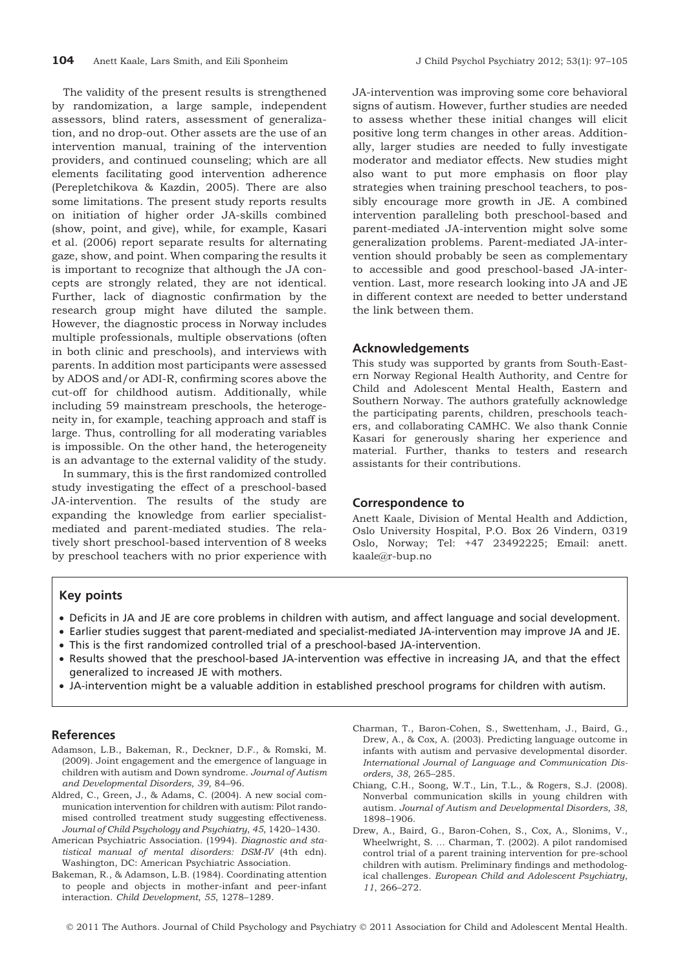The validity of the present results is strengthened by randomization, a large sample, independent assessors, blind raters, assessment of generalization, and no drop-out. Other assets are the use of an intervention manual, training of the intervention providers, and continued counseling; which are all elements facilitating good intervention adherence (Perepletchikova & Kazdin, 2005). There are also some limitations. The present study reports results on initiation of higher order JA-skills combined (show, point, and give), while, for example, Kasari et al. (2006) report separate results for alternating gaze, show, and point. When comparing the results it is important to recognize that although the JA concepts are strongly related, they are not identical. Further, lack of diagnostic confirmation by the research group might have diluted the sample. However, the diagnostic process in Norway includes multiple professionals, multiple observations (often in both clinic and preschools), and interviews with parents. In addition most participants were assessed by ADOS and/or ADI-R, confirming scores above the cut-off for childhood autism. Additionally, while including 59 mainstream preschools, the heterogeneity in, for example, teaching approach and staff is large. Thus, controlling for all moderating variables is impossible. On the other hand, the heterogeneity is an advantage to the external validity of the study.

In summary, this is the first randomized controlled study investigating the effect of a preschool-based JA-intervention. The results of the study are expanding the knowledge from earlier specialistmediated and parent-mediated studies. The relatively short preschool-based intervention of 8 weeks by preschool teachers with no prior experience with JA-intervention was improving some core behavioral signs of autism. However, further studies are needed to assess whether these initial changes will elicit positive long term changes in other areas. Additionally, larger studies are needed to fully investigate moderator and mediator effects. New studies might also want to put more emphasis on floor play strategies when training preschool teachers, to possibly encourage more growth in JE. A combined intervention paralleling both preschool-based and parent-mediated JA-intervention might solve some generalization problems. Parent-mediated JA-intervention should probably be seen as complementary to accessible and good preschool-based JA-intervention. Last, more research looking into JA and JE in different context are needed to better understand the link between them.

## Acknowledgements

This study was supported by grants from South-Eastern Norway Regional Health Authority, and Centre for Child and Adolescent Mental Health, Eastern and Southern Norway. The authors gratefully acknowledge the participating parents, children, preschools teachers, and collaborating CAMHC. We also thank Connie Kasari for generously sharing her experience and material. Further, thanks to testers and research assistants for their contributions.

#### Correspondence to

Anett Kaale, Division of Mental Health and Addiction, Oslo University Hospital, P.O. Box 26 Vindern, 0319 Oslo, Norway; Tel: +47 23492225; Email: anett. kaale@r-bup.no

## Key points

- Deficits in JA and JE are core problems in children with autism, and affect language and social development.
- Earlier studies suggest that parent-mediated and specialist-mediated JA-intervention may improve JA and JE.
- This is the first randomized controlled trial of a preschool-based JA-intervention.
- Results showed that the preschool-based JA-intervention was effective in increasing JA, and that the effect generalized to increased JE with mothers.
- JA-intervention might be a valuable addition in established preschool programs for children with autism.

#### References

- Adamson, L.B., Bakeman, R., Deckner, D.F., & Romski, M. (2009). Joint engagement and the emergence of language in children with autism and Down syndrome. Journal of Autism and Developmental Disorders, 39, 84–96.
- Aldred, C., Green, J., & Adams, C. (2004). A new social communication intervention for children with autism: Pilot randomised controlled treatment study suggesting effectiveness. Journal of Child Psychology and Psychiatry, 45, 1420–1430.
- American Psychiatric Association. (1994). Diagnostic and statistical manual of mental disorders: DSM-IV (4th edn). Washington, DC: American Psychiatric Association.
- Bakeman, R., & Adamson, L.B. (1984). Coordinating attention to people and objects in mother-infant and peer-infant interaction. Child Development, 55, 1278–1289.
- Charman, T., Baron-Cohen, S., Swettenham, J., Baird, G., Drew, A., & Cox, A. (2003). Predicting language outcome in infants with autism and pervasive developmental disorder. International Journal of Language and Communication Disorders, 38, 265–285.
- Chiang, C.H., Soong, W.T., Lin, T.L., & Rogers, S.J. (2008). Nonverbal communication skills in young children with autism. Journal of Autism and Developmental Disorders, 38, 1898–1906.
- Drew, A., Baird, G., Baron-Cohen, S., Cox, A., Slonims, V., Wheelwright, S. … Charman, T. (2002). A pilot randomised control trial of a parent training intervention for pre-school children with autism. Preliminary findings and methodological challenges. European Child and Adolescent Psychiatry, 11, 266–272.

© 2011 The Authors. Journal of Child Psychology and Psychiatry © 2011 Association for Child and Adolescent Mental Health.